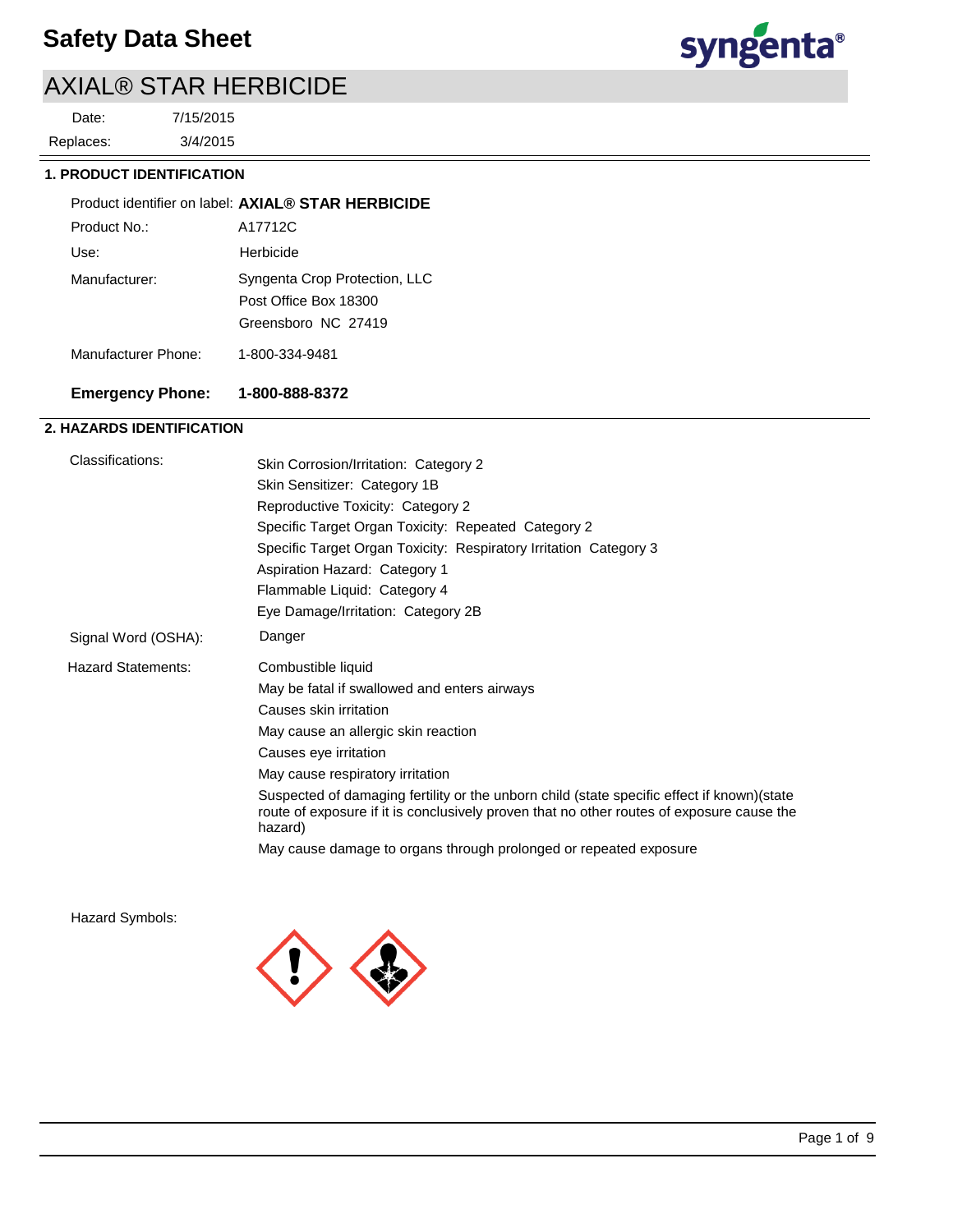# AXIAL® STAR HERBICIDE

3/4/2015 7/15/2015 Replaces: Date:



## **1. PRODUCT IDENTIFICATION**

|               | Product identifier on label: AXIAL® STAR HERBICIDE |
|---------------|----------------------------------------------------|
| Product No.:  | A17712C                                            |
| Use:          | Herbicide                                          |
| Manufacturer: | Syngenta Crop Protection, LLC                      |
|               | Post Office Box 18300                              |
|               | Greensboro NC 27419                                |

Manufacturer Phone: 1-800-334-9481

## **Emergency Phone: 1-800-888-8372**

## **2. HAZARDS IDENTIFICATION**

| Classifications:          | Skin Corrosion/Irritation: Category 2                                                                                                                                                               |  |
|---------------------------|-----------------------------------------------------------------------------------------------------------------------------------------------------------------------------------------------------|--|
|                           | Skin Sensitizer: Category 1B                                                                                                                                                                        |  |
|                           | Reproductive Toxicity: Category 2                                                                                                                                                                   |  |
|                           | Specific Target Organ Toxicity: Repeated Category 2                                                                                                                                                 |  |
|                           | Specific Target Organ Toxicity: Respiratory Irritation Category 3                                                                                                                                   |  |
|                           | Aspiration Hazard: Category 1                                                                                                                                                                       |  |
|                           | Flammable Liquid: Category 4                                                                                                                                                                        |  |
|                           | Eye Damage/Irritation: Category 2B                                                                                                                                                                  |  |
| Signal Word (OSHA):       | Danger                                                                                                                                                                                              |  |
| <b>Hazard Statements:</b> | Combustible liquid                                                                                                                                                                                  |  |
|                           | May be fatal if swallowed and enters airways                                                                                                                                                        |  |
|                           | Causes skin irritation                                                                                                                                                                              |  |
|                           | May cause an allergic skin reaction                                                                                                                                                                 |  |
|                           | Causes eye irritation                                                                                                                                                                               |  |
|                           | May cause respiratory irritation                                                                                                                                                                    |  |
|                           | Suspected of damaging fertility or the unborn child (state specific effect if known) (state<br>route of exposure if it is conclusively proven that no other routes of exposure cause the<br>hazard) |  |
|                           | May cause damage to organs through prolonged or repeated exposure                                                                                                                                   |  |
|                           |                                                                                                                                                                                                     |  |

Hazard Symbols:

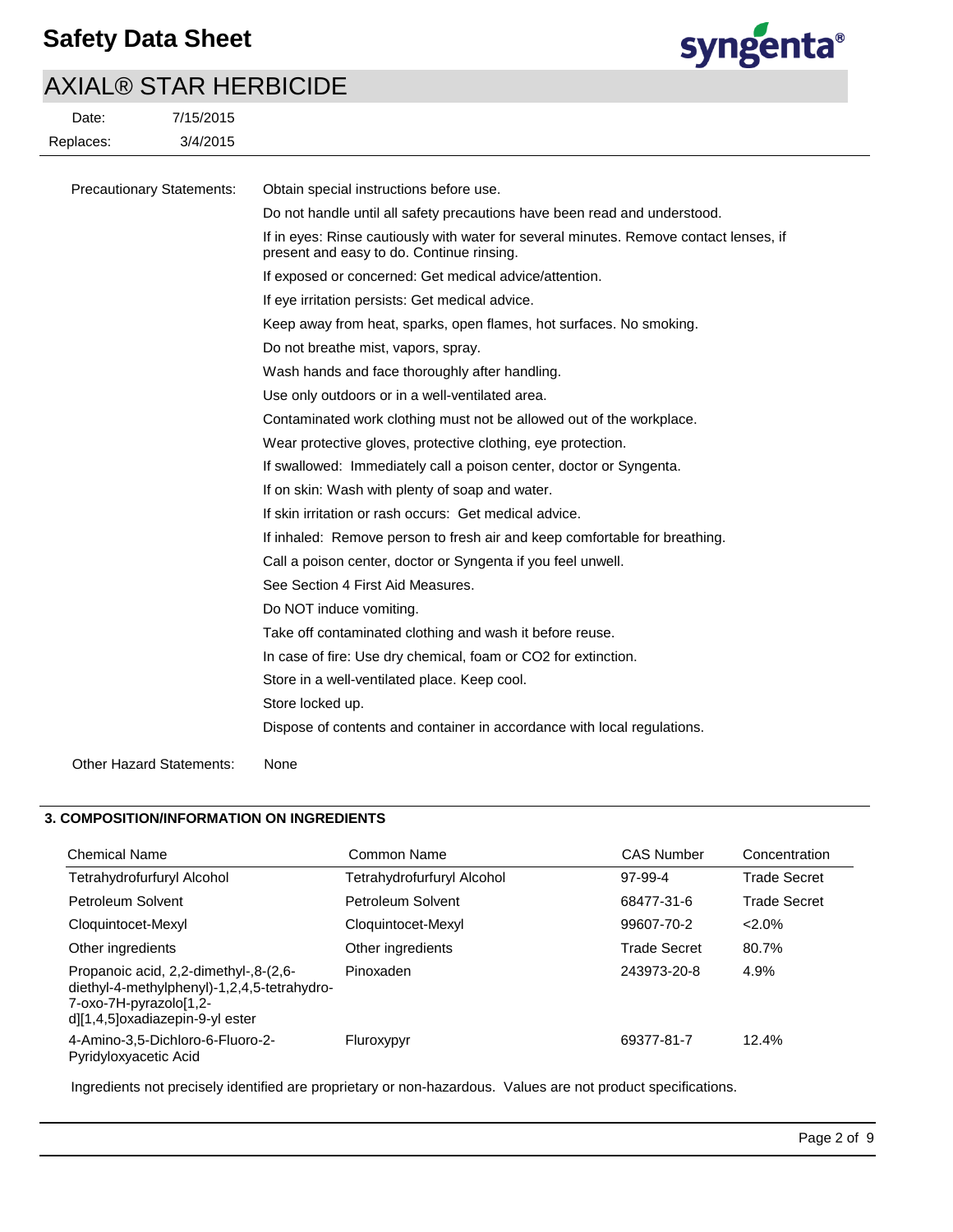

# AXIAL® STAR HERBICIDE

| Date:     | 7/15/2015 |
|-----------|-----------|
| Replaces: | 3/4/2015  |

| <b>Precautionary Statements:</b> | Obtain special instructions before use.                                                                                             |
|----------------------------------|-------------------------------------------------------------------------------------------------------------------------------------|
|                                  | Do not handle until all safety precautions have been read and understood.                                                           |
|                                  | If in eyes: Rinse cautiously with water for several minutes. Remove contact lenses, if<br>present and easy to do. Continue rinsing. |
|                                  | If exposed or concerned: Get medical advice/attention.                                                                              |
|                                  | If eye irritation persists: Get medical advice.                                                                                     |
|                                  | Keep away from heat, sparks, open flames, hot surfaces. No smoking.                                                                 |
|                                  | Do not breathe mist, vapors, spray.                                                                                                 |
|                                  | Wash hands and face thoroughly after handling.                                                                                      |
|                                  | Use only outdoors or in a well-ventilated area.                                                                                     |
|                                  | Contaminated work clothing must not be allowed out of the workplace.                                                                |
|                                  | Wear protective gloves, protective clothing, eye protection.                                                                        |
|                                  | If swallowed: Immediately call a poison center, doctor or Syngenta.                                                                 |
|                                  | If on skin: Wash with plenty of soap and water.                                                                                     |
|                                  | If skin irritation or rash occurs: Get medical advice.                                                                              |
|                                  | If inhaled: Remove person to fresh air and keep comfortable for breathing.                                                          |
|                                  | Call a poison center, doctor or Syngenta if you feel unwell.                                                                        |
|                                  | See Section 4 First Aid Measures.                                                                                                   |
|                                  | Do NOT induce vomiting.                                                                                                             |
|                                  | Take off contaminated clothing and wash it before reuse.                                                                            |
|                                  | In case of fire: Use dry chemical, foam or CO2 for extinction.                                                                      |
|                                  | Store in a well-ventilated place. Keep cool.                                                                                        |
|                                  | Store locked up.                                                                                                                    |
|                                  | Dispose of contents and container in accordance with local regulations.                                                             |
| <b>Other Hazard Statements:</b>  | None                                                                                                                                |

## **3. COMPOSITION/INFORMATION ON INGREDIENTS**

| <b>Chemical Name</b>                                                                                                                              | Common Name                | <b>CAS Number</b>   | Concentration       |
|---------------------------------------------------------------------------------------------------------------------------------------------------|----------------------------|---------------------|---------------------|
| Tetrahydrofurfuryl Alcohol                                                                                                                        | Tetrahydrofurfuryl Alcohol | 97-99-4             | <b>Trade Secret</b> |
| Petroleum Solvent                                                                                                                                 | Petroleum Solvent          | 68477-31-6          | <b>Trade Secret</b> |
| Cloquintocet-Mexyl                                                                                                                                | Cloquintocet-Mexyl         | 99607-70-2          | $2.0\%$             |
| Other ingredients                                                                                                                                 | Other ingredients          | <b>Trade Secret</b> | 80.7%               |
| Propanoic acid, 2,2-dimethyl-,8-(2,6-<br>diethyl-4-methylphenyl)-1,2,4,5-tetrahydro-<br>7-oxo-7H-pyrazolo[1,2-<br>d][1,4,5]oxadiazepin-9-yl ester | Pinoxaden                  | 243973-20-8         | 4.9%                |
| 4-Amino-3,5-Dichloro-6-Fluoro-2-<br>Pyridyloxyacetic Acid                                                                                         | Fluroxypyr                 | 69377-81-7          | 12.4%               |

Ingredients not precisely identified are proprietary or non-hazardous. Values are not product specifications.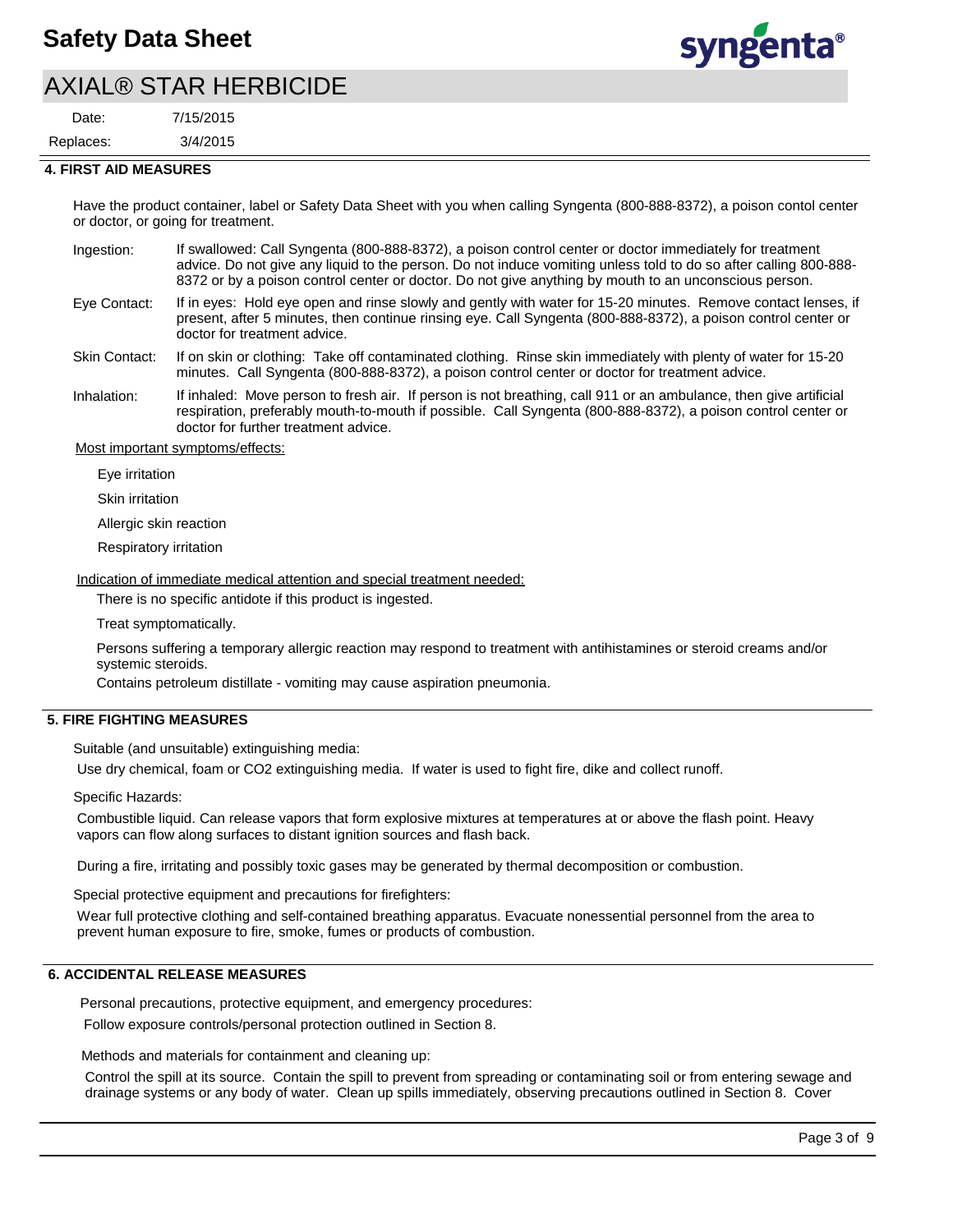# AXIAL® STAR HERBICIDE

3/4/2015 7/15/2015 Replaces: Date:



#### **4. FIRST AID MEASURES**

Have the product container, label or Safety Data Sheet with you when calling Syngenta (800-888-8372), a poison contol center or doctor, or going for treatment.

- If swallowed: Call Syngenta (800-888-8372), a poison control center or doctor immediately for treatment advice. Do not give any liquid to the person. Do not induce vomiting unless told to do so after calling 800-888- 8372 or by a poison control center or doctor. Do not give anything by mouth to an unconscious person. Ingestion:
- If in eyes: Hold eye open and rinse slowly and gently with water for 15-20 minutes. Remove contact lenses, if present, after 5 minutes, then continue rinsing eye. Call Syngenta (800-888-8372), a poison control center or doctor for treatment advice. Eye Contact:

If on skin or clothing: Take off contaminated clothing. Rinse skin immediately with plenty of water for 15-20 minutes. Call Syngenta (800-888-8372), a poison control center or doctor for treatment advice. Skin Contact:

If inhaled: Move person to fresh air. If person is not breathing, call 911 or an ambulance, then give artificial respiration, preferably mouth-to-mouth if possible. Call Syngenta (800-888-8372), a poison control center or doctor for further treatment advice. Inhalation:

Most important symptoms/effects:

Eye irritation

Skin irritation

Allergic skin reaction

Respiratory irritation

Indication of immediate medical attention and special treatment needed:

There is no specific antidote if this product is ingested.

Treat symptomatically.

Persons suffering a temporary allergic reaction may respond to treatment with antihistamines or steroid creams and/or systemic steroids.

Contains petroleum distillate - vomiting may cause aspiration pneumonia.

## **5. FIRE FIGHTING MEASURES**

Suitable (and unsuitable) extinguishing media:

Use dry chemical, foam or CO2 extinguishing media. If water is used to fight fire, dike and collect runoff.

Specific Hazards:

Combustible liquid. Can release vapors that form explosive mixtures at temperatures at or above the flash point. Heavy vapors can flow along surfaces to distant ignition sources and flash back.

During a fire, irritating and possibly toxic gases may be generated by thermal decomposition or combustion.

Special protective equipment and precautions for firefighters:

Wear full protective clothing and self-contained breathing apparatus. Evacuate nonessential personnel from the area to prevent human exposure to fire, smoke, fumes or products of combustion.

## **6. ACCIDENTAL RELEASE MEASURES**

Personal precautions, protective equipment, and emergency procedures: Follow exposure controls/personal protection outlined in Section 8.

Methods and materials for containment and cleaning up:

Control the spill at its source. Contain the spill to prevent from spreading or contaminating soil or from entering sewage and drainage systems or any body of water. Clean up spills immediately, observing precautions outlined in Section 8. Cover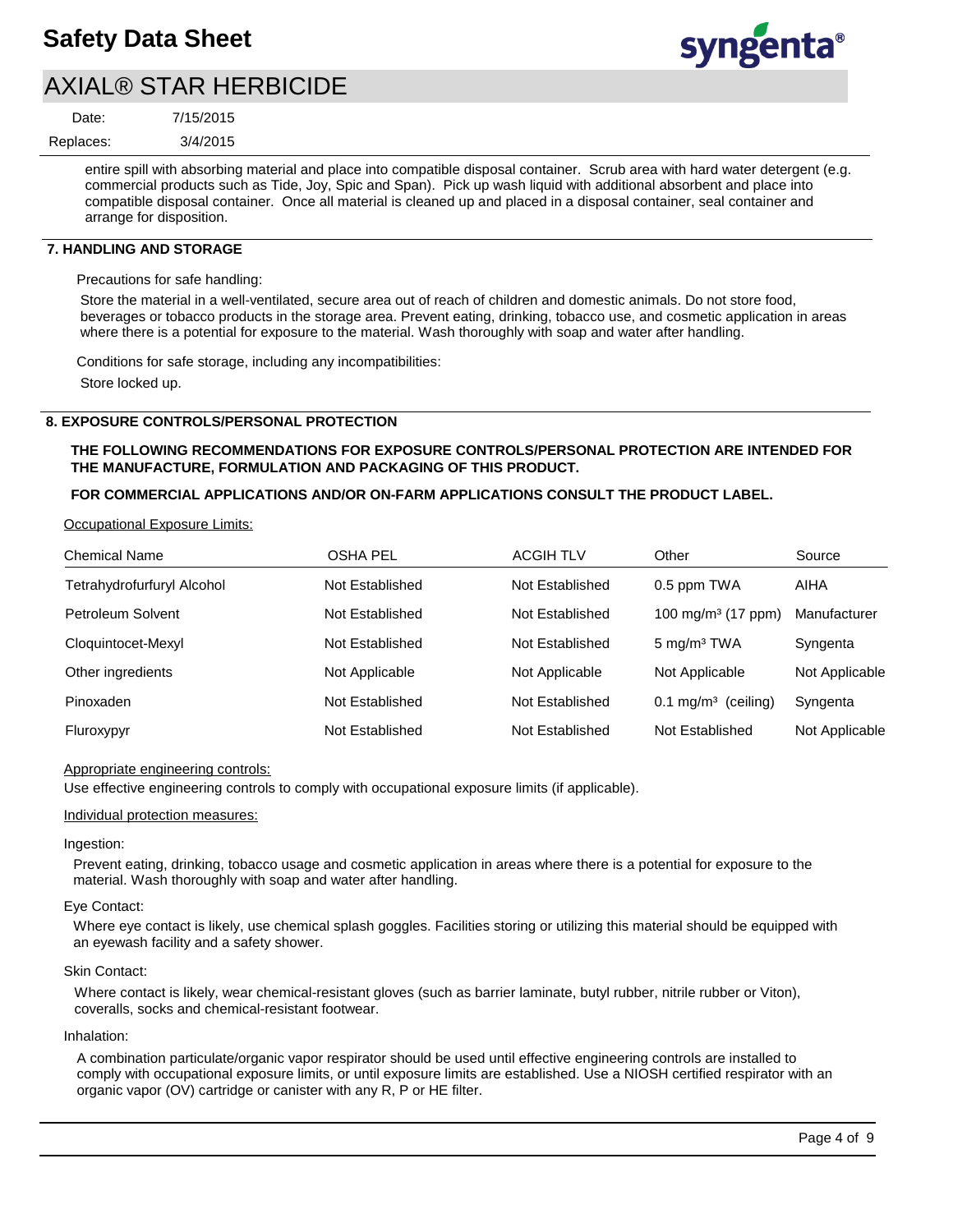

## AXIAL® STAR HERBICIDE

7/15/2015 Date:

3/4/2015 Replaces:

> entire spill with absorbing material and place into compatible disposal container. Scrub area with hard water detergent (e.g. commercial products such as Tide, Joy, Spic and Span). Pick up wash liquid with additional absorbent and place into compatible disposal container. Once all material is cleaned up and placed in a disposal container, seal container and arrange for disposition.

## **7. HANDLING AND STORAGE**

Precautions for safe handling:

Store the material in a well-ventilated, secure area out of reach of children and domestic animals. Do not store food, beverages or tobacco products in the storage area. Prevent eating, drinking, tobacco use, and cosmetic application in areas where there is a potential for exposure to the material. Wash thoroughly with soap and water after handling.

Conditions for safe storage, including any incompatibilities: Store locked up.

## **8. EXPOSURE CONTROLS/PERSONAL PROTECTION**

## **THE FOLLOWING RECOMMENDATIONS FOR EXPOSURE CONTROLS/PERSONAL PROTECTION ARE INTENDED FOR THE MANUFACTURE, FORMULATION AND PACKAGING OF THIS PRODUCT.**

## **FOR COMMERCIAL APPLICATIONS AND/OR ON-FARM APPLICATIONS CONSULT THE PRODUCT LABEL.**

Occupational Exposure Limits:

| <b>Chemical Name</b>       | <b>OSHA PEL</b> | <b>ACGIH TLV</b> | Other                          | Source         |
|----------------------------|-----------------|------------------|--------------------------------|----------------|
| Tetrahydrofurfuryl Alcohol | Not Established | Not Established  | 0.5 ppm TWA                    | <b>AIHA</b>    |
| Petroleum Solvent          | Not Established | Not Established  | 100 mg/m <sup>3</sup> (17 ppm) | Manufacturer   |
| Cloquintocet-Mexyl         | Not Established | Not Established  | $5 \text{ mg/m}^3$ TWA         | Syngenta       |
| Other ingredients          | Not Applicable  | Not Applicable   | Not Applicable                 | Not Applicable |
| Pinoxaden                  | Not Established | Not Established  | $0.1 \text{ mg/m}^3$ (ceiling) | Syngenta       |
| Fluroxypyr                 | Not Established | Not Established  | Not Established                | Not Applicable |

#### Appropriate engineering controls:

Use effective engineering controls to comply with occupational exposure limits (if applicable).

#### Individual protection measures:

#### Ingestion:

Prevent eating, drinking, tobacco usage and cosmetic application in areas where there is a potential for exposure to the material. Wash thoroughly with soap and water after handling.

#### Eye Contact:

Where eye contact is likely, use chemical splash goggles. Facilities storing or utilizing this material should be equipped with an eyewash facility and a safety shower.

## Skin Contact:

Where contact is likely, wear chemical-resistant gloves (such as barrier laminate, butyl rubber, nitrile rubber or Viton), coveralls, socks and chemical-resistant footwear.

## Inhalation:

A combination particulate/organic vapor respirator should be used until effective engineering controls are installed to comply with occupational exposure limits, or until exposure limits are established. Use a NIOSH certified respirator with an organic vapor (OV) cartridge or canister with any R, P or HE filter.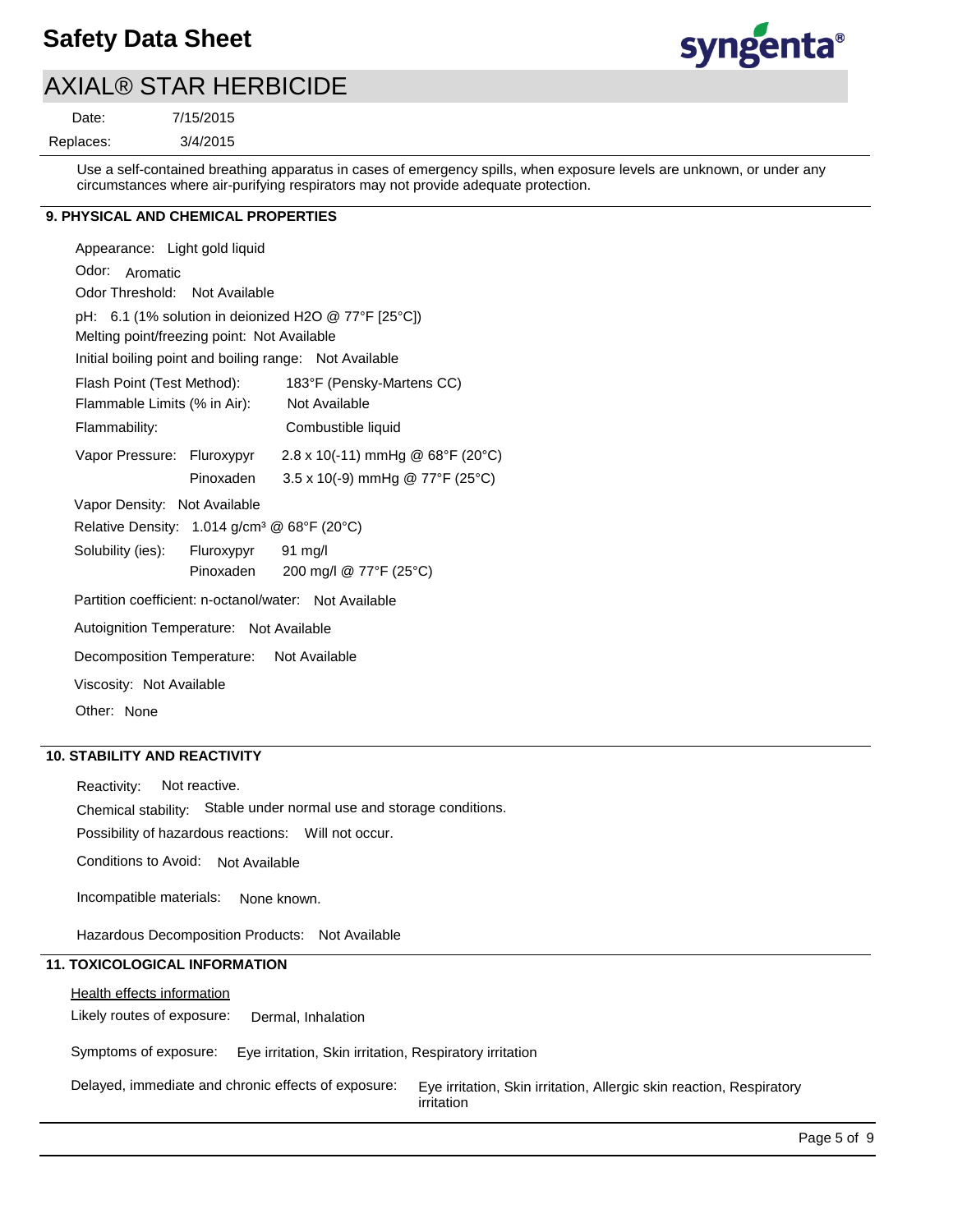

## AXIAL® STAR HERBICIDE

7/15/2015

Date:

3/4/2015 Replaces:

> Use a self-contained breathing apparatus in cases of emergency spills, when exposure levels are unknown, or under any circumstances where air-purifying respirators may not provide adequate protection.

## **9. PHYSICAL AND CHEMICAL PROPERTIES**

| Appearance: Light gold liquid                           |                                        |  |
|---------------------------------------------------------|----------------------------------------|--|
| Odor: Aromatic                                          |                                        |  |
| Odor Threshold: Not Available                           |                                        |  |
| pH: 6.1 (1% solution in deionized H2O @ 77°F [25°C])    |                                        |  |
| Melting point/freezing point: Not Available             |                                        |  |
| Initial boiling point and boiling range: Not Available  |                                        |  |
| Flash Point (Test Method):                              | 183°F (Pensky-Martens CC)              |  |
| Flammable Limits (% in Air):                            | Not Available                          |  |
| Flammability:                                           | Combustible liquid                     |  |
| Vapor Pressure: Fluroxypyr                              | 2.8 x 10(-11) mmHg @ 68°F (20°C)       |  |
| Pinoxaden                                               | $3.5 \times 10(-9)$ mmHg @ 77°F (25°C) |  |
| Vapor Density: Not Available                            |                                        |  |
| Relative Density: 1.014 g/cm <sup>3</sup> @ 68°F (20°C) |                                        |  |
| Solubility (ies): Fluroxypyr 91 mg/l                    |                                        |  |
| Pinoxaden                                               | 200 mg/l @ 77°F (25°C)                 |  |
| Partition coefficient: n-octanol/water: Not Available   |                                        |  |
| Autoignition Temperature: Not Available                 |                                        |  |
| Decomposition Temperature: Not Available                |                                        |  |
| Viscosity: Not Available                                |                                        |  |
| Other: None                                             |                                        |  |

## **10. STABILITY AND REACTIVITY**

Reactivity: Not reactive.

Chemical stability: Stable under normal use and storage conditions.

Possibility of hazardous reactions: Will not occur.

Conditions to Avoid: Not Available

Incompatible materials: None known.

Hazardous Decomposition Products: Not Available

## **11. TOXICOLOGICAL INFORMATION**

Health effects information

Likely routes of exposure: Dermal, Inhalation

Symptoms of exposure: Eye irritation, Skin irritation, Respiratory irritation

Delayed, immediate and chronic effects of exposure: Eye irritation, Skin irritation, Allergic skin reaction, Respiratory irritation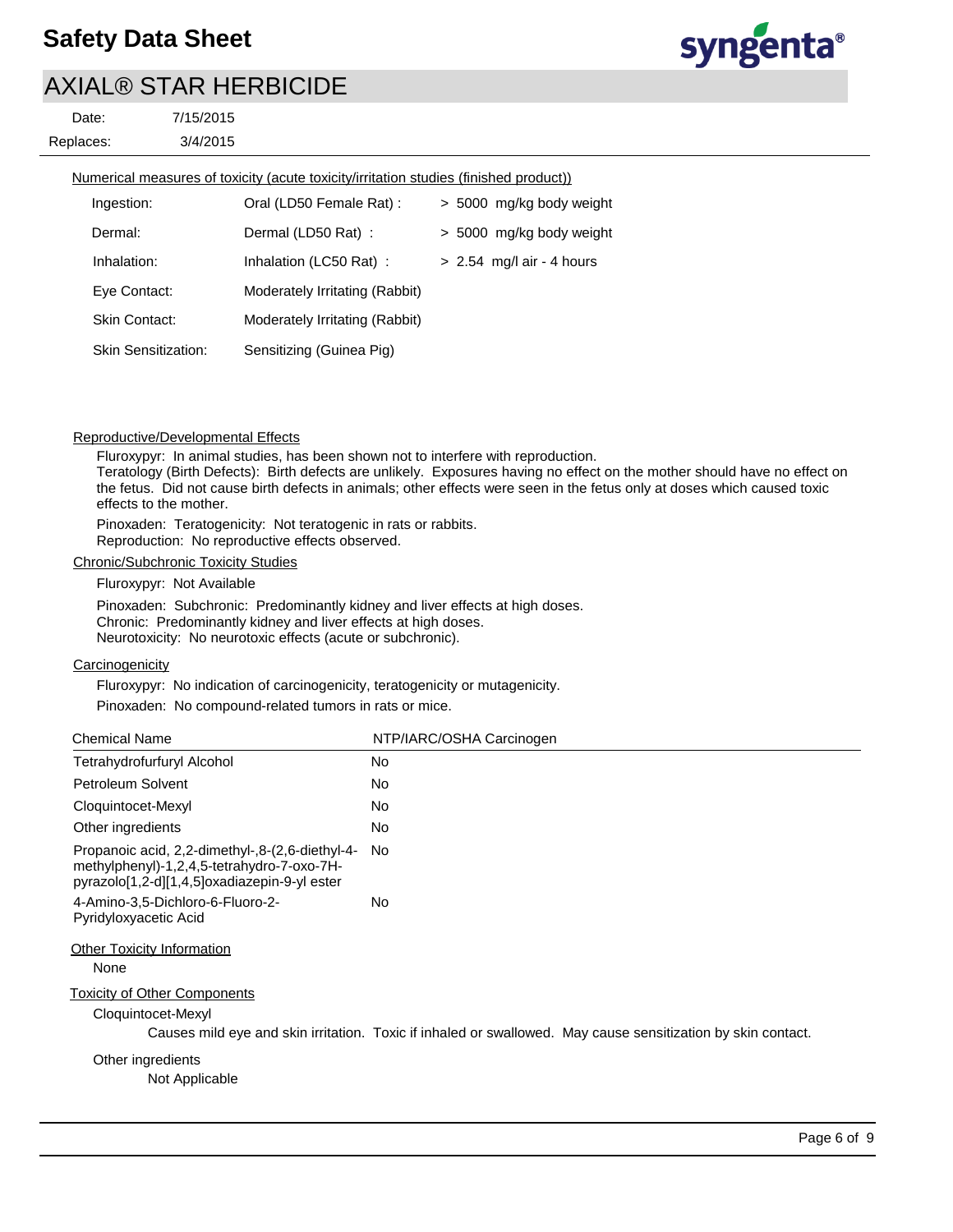# AXIAL® STAR HERBICIDE

3/4/2015 7/15/2015 Replaces: Date:

Numerical measures of toxicity (acute toxicity/irritation studies (finished product))

| Ingestion:                 | Oral (LD50 Female Rat):        | > 5000 mg/kg body weight    |
|----------------------------|--------------------------------|-----------------------------|
| Dermal:                    | Dermal (LD50 Rat):             | > 5000 mg/kg body weight    |
| Inhalation:                | Inhalation (LC50 Rat):         | $> 2.54$ mg/l air - 4 hours |
| Eye Contact:               | Moderately Irritating (Rabbit) |                             |
| Skin Contact:              | Moderately Irritating (Rabbit) |                             |
| <b>Skin Sensitization:</b> | Sensitizing (Guinea Pig)       |                             |

## Reproductive/Developmental Effects

Fluroxypyr: In animal studies, has been shown not to interfere with reproduction. Teratology (Birth Defects): Birth defects are unlikely. Exposures having no effect on the mother should have no effect on the fetus. Did not cause birth defects in animals; other effects were seen in the fetus only at doses which caused toxic effects to the mother.

Pinoxaden: Teratogenicity: Not teratogenic in rats or rabbits. Reproduction: No reproductive effects observed.

#### Chronic/Subchronic Toxicity Studies

Fluroxypyr: Not Available

Pinoxaden: Subchronic: Predominantly kidney and liver effects at high doses. Chronic: Predominantly kidney and liver effects at high doses. Neurotoxicity: No neurotoxic effects (acute or subchronic).

## **Carcinogenicity**

Fluroxypyr: No indication of carcinogenicity, teratogenicity or mutagenicity.

Pinoxaden: No compound-related tumors in rats or mice.

| <b>Chemical Name</b>                                                                                                                          | NTP/IARC/OSHA Carcinogen                                                                                     |
|-----------------------------------------------------------------------------------------------------------------------------------------------|--------------------------------------------------------------------------------------------------------------|
| Tetrahydrofurfuryl Alcohol                                                                                                                    | No                                                                                                           |
| Petroleum Solvent                                                                                                                             | No                                                                                                           |
| Cloquintocet-Mexyl                                                                                                                            | No                                                                                                           |
| Other ingredients                                                                                                                             | No                                                                                                           |
| Propanoic acid, 2,2-dimethyl-,8-(2,6-diethyl-4-<br>methylphenyl)-1,2,4,5-tetrahydro-7-oxo-7H-<br>pyrazolo[1,2-d][1,4,5]oxadiazepin-9-yl ester | No.                                                                                                          |
| 4-Amino-3,5-Dichloro-6-Fluoro-2-<br>Pyridyloxyacetic Acid                                                                                     | No                                                                                                           |
| <b>Other Toxicity Information</b><br>None                                                                                                     |                                                                                                              |
| <b>Toxicity of Other Components</b><br>Cloquintocet-Mexyl                                                                                     | Causes mild eye and skin irritation. Toxic if inhaled or swallowed. May cause sensitization by skin contact. |
| Other ingredients<br>Not Applicable                                                                                                           |                                                                                                              |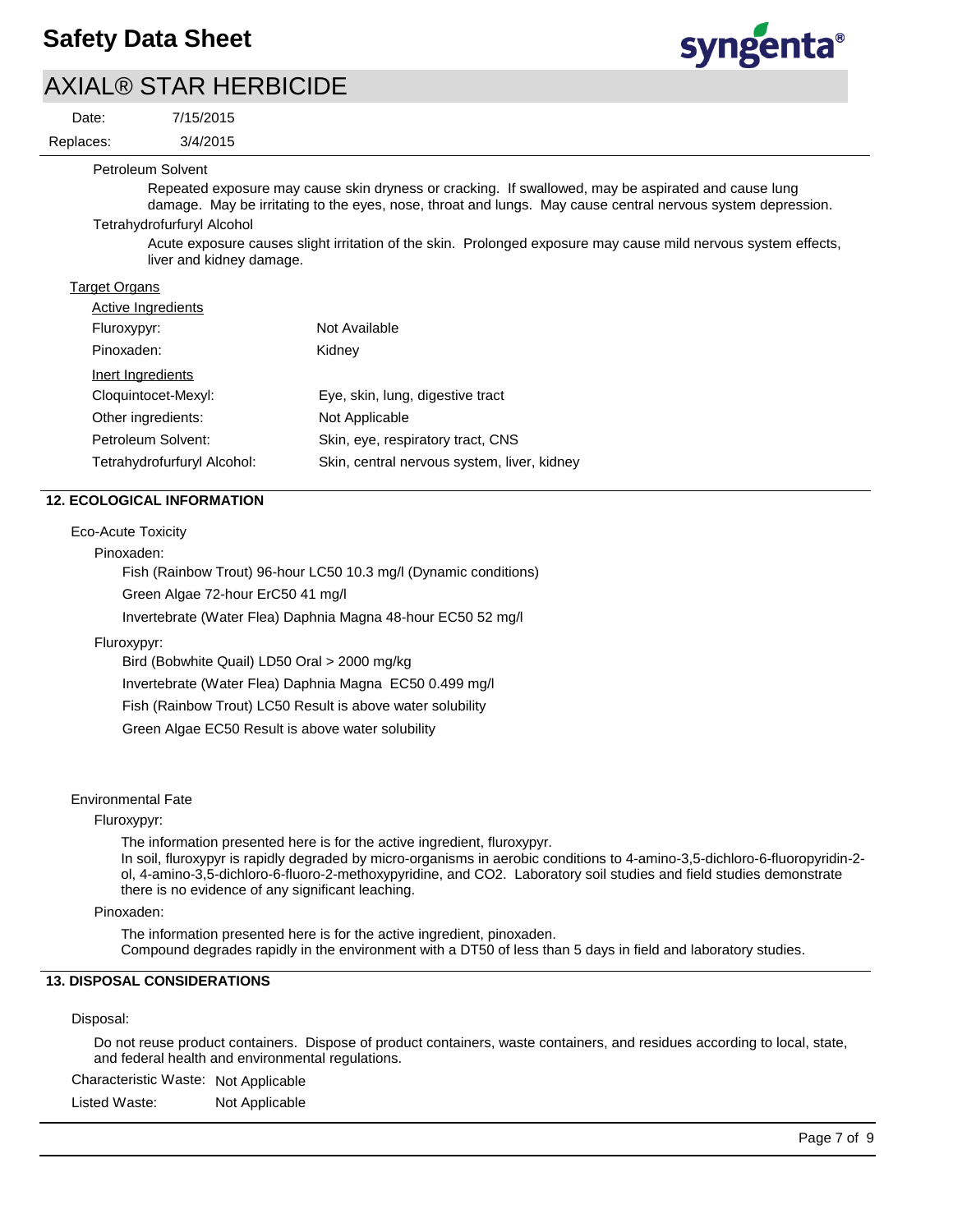# AXIAL® STAR HERBICIDE

3/4/2015

Date:

7/15/2015

Replaces:



Petroleum Solvent

Repeated exposure may cause skin dryness or cracking. If swallowed, may be aspirated and cause lung damage. May be irritating to the eyes, nose, throat and lungs. May cause central nervous system depression.

Tetrahydrofurfuryl Alcohol

Acute exposure causes slight irritation of the skin. Prolonged exposure may cause mild nervous system effects, liver and kidney damage.

## Target Organs

| <b>Active Ingredients</b>   |                                             |
|-----------------------------|---------------------------------------------|
| Fluroxypyr:                 | Not Available                               |
| Pinoxaden:                  | Kidney                                      |
| Inert Ingredients           |                                             |
| Cloquintocet-Mexyl:         | Eye, skin, lung, digestive tract            |
| Other ingredients:          | Not Applicable                              |
| Petroleum Solvent:          | Skin, eye, respiratory tract, CNS           |
| Tetrahydrofurfuryl Alcohol: | Skin, central nervous system, liver, kidney |

## **12. ECOLOGICAL INFORMATION**

## Eco-Acute Toxicity

Pinoxaden:

Fish (Rainbow Trout) 96-hour LC50 10.3 mg/l (Dynamic conditions)

Green Algae 72-hour ErC50 41 mg/l

Invertebrate (Water Flea) Daphnia Magna 48-hour EC50 52 mg/l

#### Fluroxypyr:

Bird (Bobwhite Quail) LD50 Oral > 2000 mg/kg

Invertebrate (Water Flea) Daphnia Magna EC50 0.499 mg/l

Fish (Rainbow Trout) LC50 Result is above water solubility

Green Algae EC50 Result is above water solubility

#### Environmental Fate

#### Fluroxypyr:

The information presented here is for the active ingredient, fluroxypyr.

In soil, fluroxypyr is rapidly degraded by micro-organisms in aerobic conditions to 4-amino-3,5-dichloro-6-fluoropyridin-2 ol, 4-amino-3,5-dichloro-6-fluoro-2-methoxypyridine, and CO2. Laboratory soil studies and field studies demonstrate there is no evidence of any significant leaching.

#### Pinoxaden:

The information presented here is for the active ingredient, pinoxaden. Compound degrades rapidly in the environment with a DT50 of less than 5 days in field and laboratory studies.

## **13. DISPOSAL CONSIDERATIONS**

#### Disposal:

Do not reuse product containers. Dispose of product containers, waste containers, and residues according to local, state, and federal health and environmental regulations.

Characteristic Waste: Not Applicable

Listed Waste: Not Applicable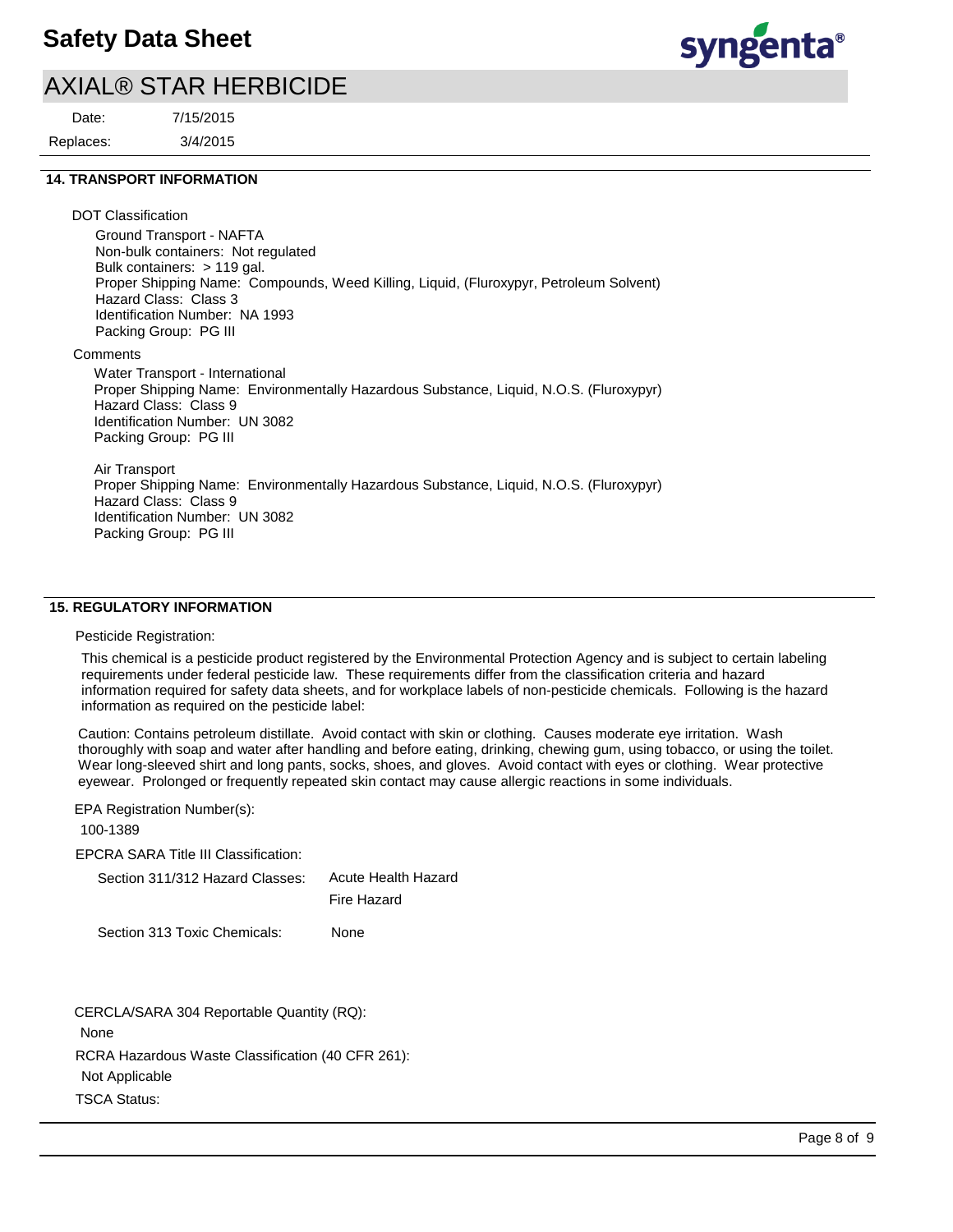## AXIAL® STAR HERBICIDE

Replaces: Date:

3/4/2015 7/15/2015 syngenta®

## **14. TRANSPORT INFORMATION**

DOT Classification

Ground Transport - NAFTA Non-bulk containers: Not regulated Bulk containers: > 119 gal. Proper Shipping Name: Compounds, Weed Killing, Liquid, (Fluroxypyr, Petroleum Solvent) Hazard Class: Class 3 Identification Number: NA 1993 Packing Group: PG III

**Comments** 

Water Transport - International Proper Shipping Name: Environmentally Hazardous Substance, Liquid, N.O.S. (Fluroxypyr) Hazard Class: Class 9 Identification Number: UN 3082 Packing Group: PG III

Air Transport Proper Shipping Name: Environmentally Hazardous Substance, Liquid, N.O.S. (Fluroxypyr) Hazard Class: Class 9 Identification Number: UN 3082 Packing Group: PG III

## **15. REGULATORY INFORMATION**

#### Pesticide Registration:

This chemical is a pesticide product registered by the Environmental Protection Agency and is subject to certain labeling requirements under federal pesticide law. These requirements differ from the classification criteria and hazard information required for safety data sheets, and for workplace labels of non-pesticide chemicals. Following is the hazard information as required on the pesticide label:

Caution: Contains petroleum distillate. Avoid contact with skin or clothing. Causes moderate eye irritation. Wash thoroughly with soap and water after handling and before eating, drinking, chewing gum, using tobacco, or using the toilet. Wear long-sleeved shirt and long pants, socks, shoes, and gloves. Avoid contact with eyes or clothing. Wear protective eyewear. Prolonged or frequently repeated skin contact may cause allergic reactions in some individuals.

EPA Registration Number(s):

100-1389

EPCRA SARA Title III Classification:

| Section 311/312 Hazard Classes: | Acute Health Hazard |
|---------------------------------|---------------------|
|                                 | Fire Hazard         |

Section 313 Toxic Chemicals: None

RCRA Hazardous Waste Classification (40 CFR 261): Not Applicable TSCA Status: CERCLA/SARA 304 Reportable Quantity (RQ): None